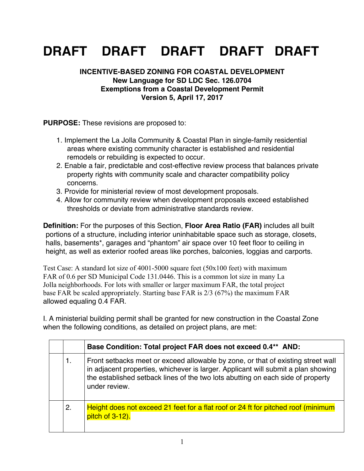## **DRAFT DRAFT DRAFT DRAFT DRAFT**

## **INCENTIVE-BASED ZONING FOR COASTAL DEVELOPMENT New Language for SD LDC Sec. 126.0704 Exemptions from a Coastal Development Permit Version 5, April 17, 2017**

**PURPOSE:** These revisions are proposed to:

- 1. Implement the La Jolla Community & Coastal Plan in single-family residential areas where existing community character is established and residential remodels or rebuilding is expected to occur.
- 2. Enable a fair, predictable and cost-effective review process that balances private property rights with community scale and character compatibility policy concerns.
- 3. Provide for ministerial review of most development proposals.
- 4. Allow for community review when development proposals exceed established thresholds or deviate from administrative standards review.

**Definition:** For the purposes of this Section, **Floor Area Ratio (FAR)** includes all built portions of a structure, including interior uninhabitable space such as storage, closets, halls, basements\*, garages and "phantom" air space over 10 feet floor to ceiling in height, as well as exterior roofed areas like porches, balconies, loggias and carports.

Test Case: A standard lot size of 4001-5000 square feet (50x100 feet) with maximum FAR of 0.6 per SD Municipal Code 131.0446. This is a common lot size in many La Jolla neighborhoods. For lots with smaller or larger maximum FAR, the total project base FAR be scaled appropriately. Starting base FAR is 2/3 (67%) the maximum FAR allowed equaling 0.4 FAR.

I. A ministerial building permit shall be granted for new construction in the Coastal Zone when the following conditions, as detailed on project plans, are met:

|    | Base Condition: Total project FAR does not exceed 0.4** AND:                                                                                                                                                                                                              |
|----|---------------------------------------------------------------------------------------------------------------------------------------------------------------------------------------------------------------------------------------------------------------------------|
| 1. | Front setbacks meet or exceed allowable by zone, or that of existing street wall<br>in adjacent properties, whichever is larger. Applicant will submit a plan showing<br>the established setback lines of the two lots abutting on each side of property<br>under review. |
| 2. | Height does not exceed 21 feet for a flat roof or 24 ft for pitched roof (minimum<br>pitch of 3-12).                                                                                                                                                                      |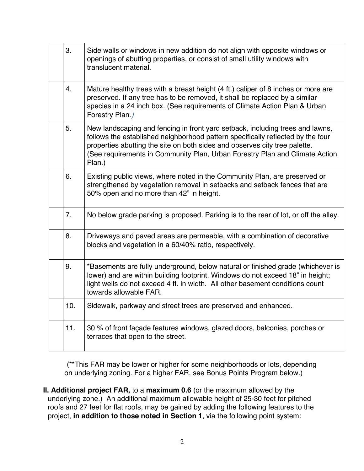| 3 <sub>1</sub> | Side walls or windows in new addition do not align with opposite windows or<br>openings of abutting properties, or consist of small utility windows with<br>translucent material.                                                                                                                                                       |
|----------------|-----------------------------------------------------------------------------------------------------------------------------------------------------------------------------------------------------------------------------------------------------------------------------------------------------------------------------------------|
| 4.             | Mature healthy trees with a breast height (4 ft.) caliper of 8 inches or more are<br>preserved. If any tree has to be removed, it shall be replaced by a similar<br>species in a 24 inch box. (See requirements of Climate Action Plan & Urban<br>Forestry Plan.)                                                                       |
| 5.             | New landscaping and fencing in front yard setback, including trees and lawns,<br>follows the established neighborhood pattern specifically reflected by the four<br>properties abutting the site on both sides and observes city tree palette.<br>(See requirements in Community Plan, Urban Forestry Plan and Climate Action<br>Plan.) |
| 6.             | Existing public views, where noted in the Community Plan, are preserved or<br>strengthened by vegetation removal in setbacks and setback fences that are<br>50% open and no more than 42" in height.                                                                                                                                    |
| 7 <sub>1</sub> | No below grade parking is proposed. Parking is to the rear of lot, or off the alley.                                                                                                                                                                                                                                                    |
| 8.             | Driveways and paved areas are permeable, with a combination of decorative<br>blocks and vegetation in a 60/40% ratio, respectively.                                                                                                                                                                                                     |
| 9.             | *Basements are fully underground, below natural or finished grade (whichever is<br>lower) and are within building footprint. Windows do not exceed 18" in height;<br>light wells do not exceed 4 ft. in width. All other basement conditions count<br>towards allowable FAR.                                                            |
| 10.            | Sidewalk, parkway and street trees are preserved and enhanced.                                                                                                                                                                                                                                                                          |
| 11.            | 30 % of front façade features windows, glazed doors, balconies, porches or<br>terraces that open to the street.                                                                                                                                                                                                                         |

(\*\*This FAR may be lower or higher for some neighborhoods or lots, depending on underlying zoning. For a higher FAR, see Bonus Points Program below.)

**II. Additional project FAR,** to a **maximum 0.6** (or the maximum allowed by the underlying zone.) An additional maximum allowable height of 25-30 feet for pitched roofs and 27 feet for flat roofs, may be gained by adding the following features to the project, **in addition to those noted in Section 1**, via the following point system: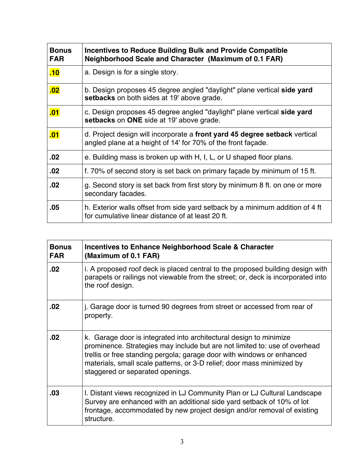| <b>Bonus</b><br><b>FAR</b> | Incentives to Reduce Building Bulk and Provide Compatible<br>Neighborhood Scale and Character (Maximum of 0.1 FAR)                         |
|----------------------------|--------------------------------------------------------------------------------------------------------------------------------------------|
| .10                        | a. Design is for a single story.                                                                                                           |
| .02                        | b. Design proposes 45 degree angled "daylight" plane vertical side yard<br>setbacks on both sides at 19' above grade.                      |
| .01                        | c. Design proposes 45 degree angled "daylight" plane vertical side yard<br>setbacks on ONE side at 19' above grade.                        |
| .01                        | d. Project design will incorporate a front yard 45 degree setback vertical<br>angled plane at a height of 14' for 70% of the front façade. |
| .02                        | e. Building mass is broken up with H, I, L, or U shaped floor plans.                                                                       |
| .02                        | f. 70% of second story is set back on primary façade by minimum of 15 ft.                                                                  |
| .02                        | g. Second story is set back from first story by minimum 8 ft. on one or more<br>secondary facades.                                         |
| .05                        | h. Exterior walls offset from side yard setback by a minimum addition of 4 ft<br>for cumulative linear distance of at least 20 ft.         |

| <b>Bonus</b><br><b>FAR</b> | Incentives to Enhance Neighborhood Scale & Character<br>(Maximum of 0.1 FAR)                                                                                                                                                                                                                                                             |
|----------------------------|------------------------------------------------------------------------------------------------------------------------------------------------------------------------------------------------------------------------------------------------------------------------------------------------------------------------------------------|
| .02                        | i. A proposed roof deck is placed central to the proposed building design with<br>parapets or railings not viewable from the street; or, deck is incorporated into<br>the roof design.                                                                                                                                                   |
| .02                        | j. Garage door is turned 90 degrees from street or accessed from rear of<br>property.                                                                                                                                                                                                                                                    |
| .02                        | k. Garage door is integrated into architectural design to minimize<br>prominence. Strategies may include but are not limited to: use of overhead<br>trellis or free standing pergola; garage door with windows or enhanced<br>materials, small scale patterns, or 3-D relief; door mass minimized by<br>staggered or separated openings. |
| .03                        | I. Distant views recognized in LJ Community Plan or LJ Cultural Landscape<br>Survey are enhanced with an additional side yard setback of 10% of lot<br>frontage, accommodated by new project design and/or removal of existing<br>structure.                                                                                             |